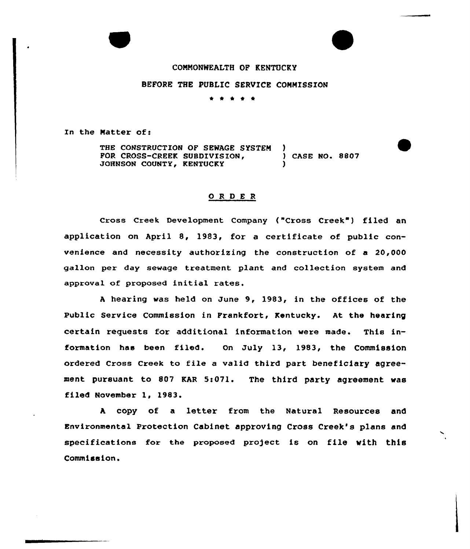### CONNONNEALTH OF KENTUCKY

# BEFORE THE PUBLIC SERVICE CONNISSION

\* \* \*

In the Natter of:

THE CONSTRUCTION OF SEWAGE SYSTEM )<br>FOR CROSS-CREEK SUBDIVISION, (ASE NO. 8807 FOR CROSS-CREEK SUBDIVISION, JOHNSON COUNTY, KENTUCKY

### ORDER

Cross Creek Development Company ("Cross Creek") filed an application an April 8, 1983, for a certificate of public convenience and necessity authorizing the construction of a 20,000 gallon pex day sewage treatment plant and collection system and approval of proposed initial rates.

<sup>A</sup> hearing was held on June 9, 1983, in the offices of the Public Service Cammission in Frankfort, Kentucky. At the hearing certain requests for additional information were made. This information has been filed. On July 13, 1983, the Commission ordered Cross Creek to file <sup>a</sup> valid third part beneficiary agreement pursuant to 807 KAR 5:071. The third party agreement was filed November 1, 1983.

<sup>A</sup> copy of a letter from the Natural Resources and Environmental protection cabinet approving Cross Creek's plans and specifications for the proposed project is on file with this Commission.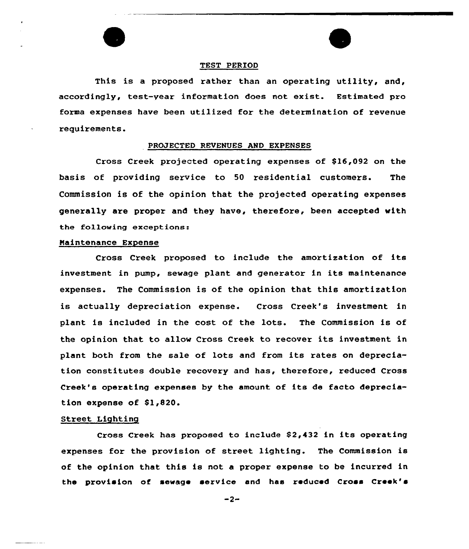

### TEST PERIOD

This is a proposed rather than an operating utility, and, accordingly, test-year information does not exist. Estimated pro forma expenses have been utilized for the determination of revenue requirements.

#### PROJECTED REVENUES AND EXPENSES

Cross Creek projected operating expenses of \$16,092 on the basis of providing service to 50 residential customers. The Commission is of the opinion that the projected operating expenses generally are proper and they have, therefore, been accepted with the following exceptions:

#### Naintenance Expense

Cross Creek proposed to include the amortization of its investment in pump, sewage plant and generator in its maintenance expenses. The Commission is of the opinion that this amortization is actually depreciation expense. Cross Creek's investment in plant is included in the cost of the lots. The Commission is of the opinion that to allow Cross Creek to recover its investment in plant both from the sale of lots and from its rates on depreciation constitutes double recovery and has, therefore, reduced Cross Creek's operating expenses by the amount of its de facto depreciation expense of \$1,820.

#### Street Lighting

Cross Creek has proposed to include \$2,432 in its operating expenses for the provision of street lighting. The Commission is of the opinion that this is not a proper expense to be incurred in the provision of sewage service and has reduced Cross Creek's

 $-2-$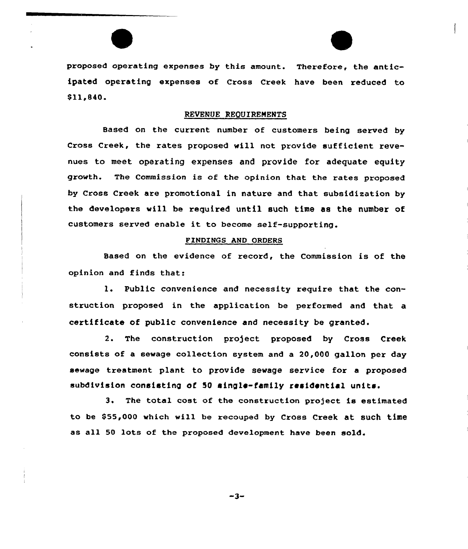proposed operating expenses by this amount. Therefore, the anticipated operating expenses of Cxoss Creek have been reduced to 011~840.

### REVENUE RE0UIRENENTS

Based on the current number of customers being served by Cross Creek, the rates proposed will not provide sufficient revenues to meet operating expenses and provide for adequate equity growth. The Commission is of the opinion that the rates proposed by Cross Creek are promotional in nature and that subsidization by the developexs will be required until such time as the number of customers served enable it to become self-supporting.

### PINDZNGS AND ORDERS

Based on the evidence of record, the Commission is of the opinion and finds that:

l. Public convenience and necessity require that the construction proposed in the application be performed and that a certificate of public convenience and necessity be granted.

2. The construction pro)ect proposed by Cross Creek consists of a sewage collection system and a 20,000 gallon per day sewage treatment plant to pxovide sewage service for a proposed subdivision consisting of 50 single-family residential unite.

3. The total cost of the construction project is estimated to be \$55,000 which will be recouped by Cross Creek at such time as all 50 lots of the proposed development have been sold.

 $-3-$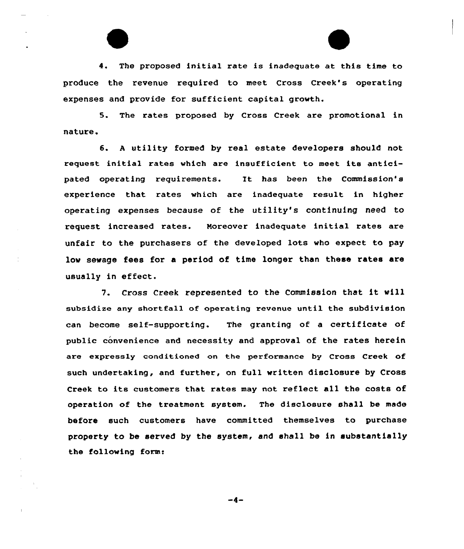4. The proposed initial rate is inadequate at this time to produce the revenue required to meet Cross Creek's operating expenses and provide for sufficient capital growth.

5. The rates proposed by Cross Creek are promotional in nature.

6. <sup>A</sup> utility formed by real estate developers should not request initial rates which are insufficient to meet its anticipated operating requirements. It has been the Commission's experience that rates which are inadequate result in higher operating expenses because of the utility's continuing need to request increased rates. Noreover inadequate initial rates are unfair to the purchasers of the developed lots who expect to pay low sewage fees for a period of time longer than these rates are usually in effect.

7. Cross Creek represented to the Commission that it vill subsidize any shortfall of operating revenue until the subdivision can become self-supporting. The granting of <sup>a</sup> certificate af public convenience and necessity and approval of the rates herein are expressly conditioned on the performance by Cross Creek of such undertaking, and further, on full written disclosure by Cross Creek to its customers that rates may not reflect all the costs of operation of the treatment system. The disclosure shall be made before such customers have committed themselves to purchase property to be served by the system, and shall be in substantially the following form:

-4-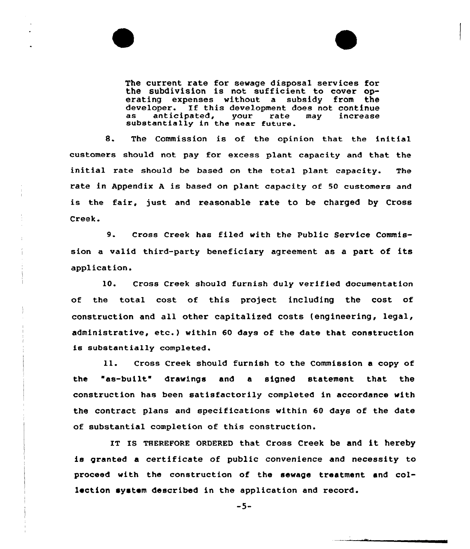

The current rate for sewage disposal services for the subdivision is not sufficient to cover operating expenses without a subsidy from the developer. If this development does not continue<br>as anticipated, your rate may increase substantially in the near future.

8. The Commission is of the opinion that the initial customers should not pay for excess plant capacity and that the initial rate should be based on the total plant capacity. The rate in Appendix <sup>A</sup> is based on plant capacity of 50 customers and is the fair, just and reasonable rate to be charged by Cross Creek.

9. Cross Creek has filed with the Public Service Commission a valid third-party beneficiary agreement as a part of its application.

10. Cross Creek should furnish duly verified documentatian of the total cost of this project including the cost of construction and all other capitalized costs (engineering, legal, administrative, etc.) within <sup>60</sup> days af the date that construction is substantially completed.

ll. Cross Creek should furnish to the Commission <sup>a</sup> copy of the "as-built drawings and a signed statement that the construction has been satisfactorily completed in accordance with the contract plans and specifications within 60 days of the date of substantial completian of this construction.

IT IS THEREFORE ORDERED that Cross Creek be and it hereby is granted a certificate of public convenience and necessity to proceed with the construction of the sewage treatment and callection system described in the application and record.

 $-5-$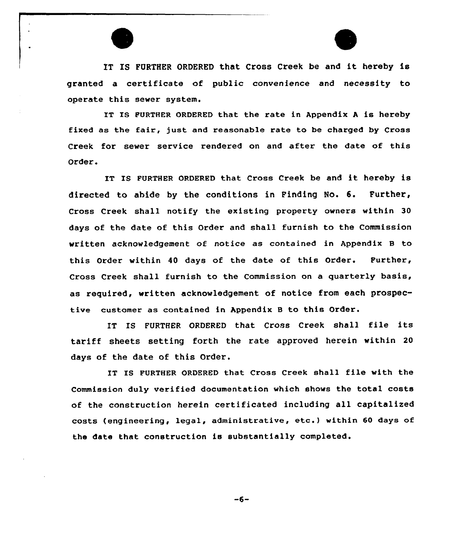

IT IS FURTHER ORDERED that Cross Creek be and it hereby is granted a certificate of public convenience and necessity to operate this sewer system.

IT IS FURTHER ORDERED that the rate in Appendix A is hereby fixed as the fair, just and reasonable rate to be charged by Cross Creek for sewer service rendered on and after the date of this Order.

IT IS FURTHER ORDERED that Cross Creek be and it hereby is directed to abide by the conditions in Finding No. 6. Further, Cross Creek shall notify the existing property owners within 30 days of the date of this Order and shall furnish to the Commission written acknowledgement of notice as contained in Appendix B to this Order within 40 days of the date of this Order. Further, Cross Creek shall furnish to the Commission on a quarterly basis, as required, written acknowledgement af notice from each prospective customer as contained in Appendix B to this Order.

IT IS FURTHER ORDERED that Cross Creek shall file its tariff sheets setting forth the rate approved herein within <sup>20</sup> days of the date of this Order.

IT IS FURTHER ORDERED that Cross Creek shall file with the Commissian duly verified documentation which shows the total costs of the construction herein certificated including all capitalized costs (engineering, legal, administrative, etc.) within <sup>60</sup> days af the date that construction is substantially completed.

 $-6-$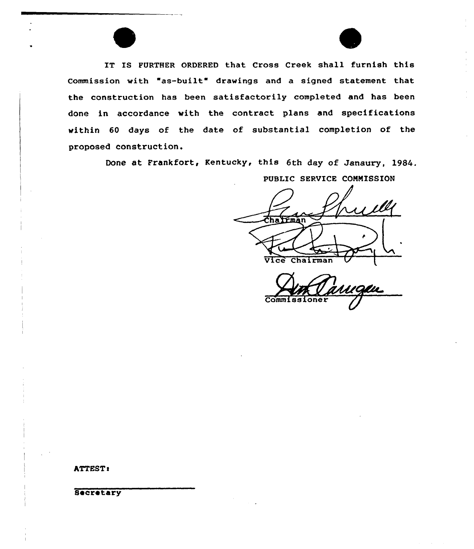IT IS FURTHER ORDERED that Cross Creek shall furnish this Commission with "as-built" drawings and a signed statement that the construction has been satisfactorily completed and has been done in accordance with the contract plans and specifications within 60 days of the date of substantial completion of the proposed construction.

Done at Frankfort, Kentucky, this 6th day of Janaury, 1984.

PUBLIC SERVICE COMMISSION Chairman Vice Chairman

Commissione

ATTEST!

Secretary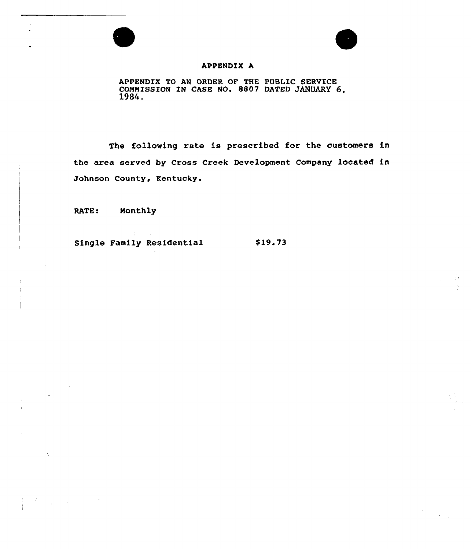



Ĵу

## APPENDIX A

APPENDIX TO AN ORDER OF THE PUBLIC SERVICE COMMISSION IN CASE NO. 8807 DATED JANUARY 6, 1984.

The following rate is prescribed for the customers in the area served by Cross Creek Development Company located in Johnson County, Kentucky.

RATE: Monthly

 $\label{eq:2} \frac{1}{2} \sum_{i=1}^n \frac{1}{2} \sum_{j=1}^n \frac{1}{2} \sum_{j=1}^n \frac{1}{2} \sum_{j=1}^n \frac{1}{2} \sum_{j=1}^n \frac{1}{2} \sum_{j=1}^n \frac{1}{2} \sum_{j=1}^n \frac{1}{2} \sum_{j=1}^n \frac{1}{2} \sum_{j=1}^n \frac{1}{2} \sum_{j=1}^n \frac{1}{2} \sum_{j=1}^n \frac{1}{2} \sum_{j=1}^n \frac{1}{2} \sum_{j=1}^n \frac{1}{$ 

Single Family Residential \$19.73